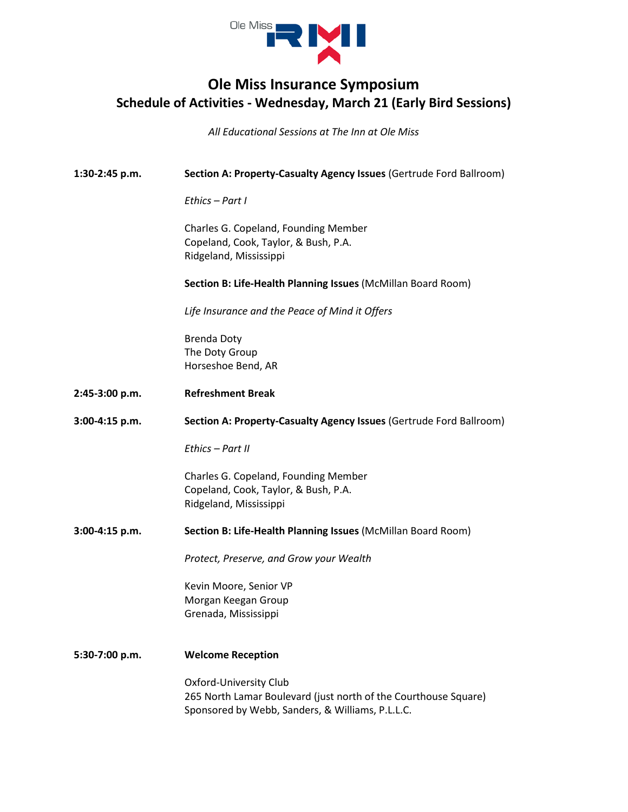

## **Ole Miss Insurance Symposium Schedule of Activities - Wednesday, March 21 (Early Bird Sessions)**

*All Educational Sessions at The Inn at Ole Miss*

| 1:30-2:45 p.m. | Section A: Property-Casualty Agency Issues (Gertrude Ford Ballroom)                                                                           |
|----------------|-----------------------------------------------------------------------------------------------------------------------------------------------|
|                | Ethics - Part I                                                                                                                               |
|                | Charles G. Copeland, Founding Member<br>Copeland, Cook, Taylor, & Bush, P.A.<br>Ridgeland, Mississippi                                        |
|                | Section B: Life-Health Planning Issues (McMillan Board Room)                                                                                  |
|                | Life Insurance and the Peace of Mind it Offers                                                                                                |
|                | <b>Brenda Doty</b><br>The Doty Group<br>Horseshoe Bend, AR                                                                                    |
| 2:45-3:00 p.m. | <b>Refreshment Break</b>                                                                                                                      |
| 3:00-4:15 p.m. | Section A: Property-Casualty Agency Issues (Gertrude Ford Ballroom)                                                                           |
|                | Fthics - Part II                                                                                                                              |
|                | Charles G. Copeland, Founding Member<br>Copeland, Cook, Taylor, & Bush, P.A.<br>Ridgeland, Mississippi                                        |
| 3:00-4:15 p.m. | Section B: Life-Health Planning Issues (McMillan Board Room)                                                                                  |
|                | Protect, Preserve, and Grow your Wealth                                                                                                       |
|                | Kevin Moore, Senior VP<br>Morgan Keegan Group<br>Grenada, Mississippi                                                                         |
| 5:30-7:00 p.m. | <b>Welcome Reception</b>                                                                                                                      |
|                | Oxford-University Club<br>265 North Lamar Boulevard (just north of the Courthouse Square)<br>Sponsored by Webb, Sanders, & Williams, P.L.L.C. |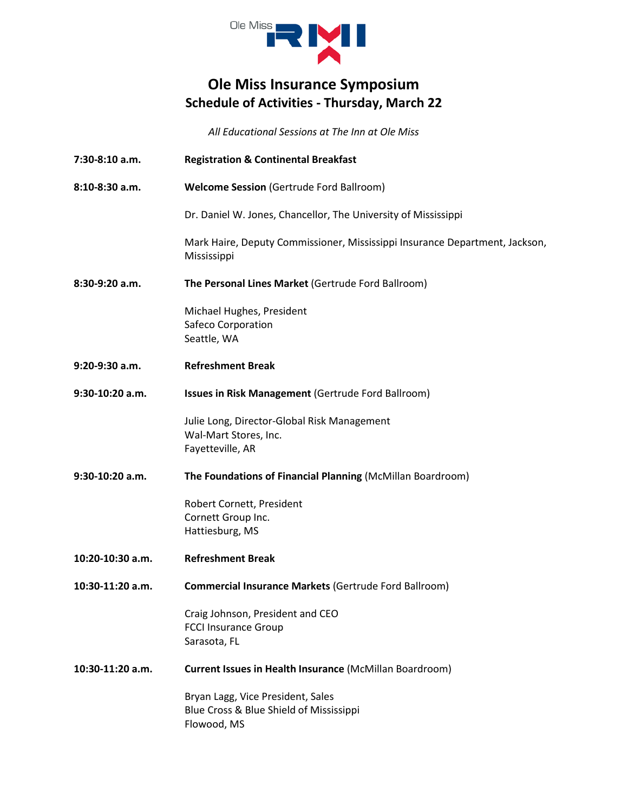

## **Ole Miss Insurance Symposium Schedule of Activities - Thursday, March 22**

*All Educational Sessions at The Inn at Ole Miss*

| $7:30-8:10$ a.m. | <b>Registration &amp; Continental Breakfast</b>                                             |
|------------------|---------------------------------------------------------------------------------------------|
| 8:10-8:30 a.m.   | <b>Welcome Session (Gertrude Ford Ballroom)</b>                                             |
|                  | Dr. Daniel W. Jones, Chancellor, The University of Mississippi                              |
|                  | Mark Haire, Deputy Commissioner, Mississippi Insurance Department, Jackson,<br>Mississippi  |
| 8:30-9:20 a.m.   | The Personal Lines Market (Gertrude Ford Ballroom)                                          |
|                  | Michael Hughes, President<br>Safeco Corporation<br>Seattle, WA                              |
| 9:20-9:30 a.m.   | <b>Refreshment Break</b>                                                                    |
| 9:30-10:20 a.m.  | Issues in Risk Management (Gertrude Ford Ballroom)                                          |
|                  | Julie Long, Director-Global Risk Management<br>Wal-Mart Stores, Inc.<br>Fayetteville, AR    |
| 9:30-10:20 a.m.  | The Foundations of Financial Planning (McMillan Boardroom)                                  |
|                  | Robert Cornett, President<br>Cornett Group Inc.<br>Hattiesburg, MS                          |
| 10:20-10:30 a.m. | <b>Refreshment Break</b>                                                                    |
| 10:30-11:20 a.m. | <b>Commercial Insurance Markets (Gertrude Ford Ballroom)</b>                                |
|                  | Craig Johnson, President and CEO<br><b>FCCI Insurance Group</b><br>Sarasota, FL             |
| 10:30-11:20 a.m. | Current Issues in Health Insurance (McMillan Boardroom)                                     |
|                  | Bryan Lagg, Vice President, Sales<br>Blue Cross & Blue Shield of Mississippi<br>Flowood, MS |